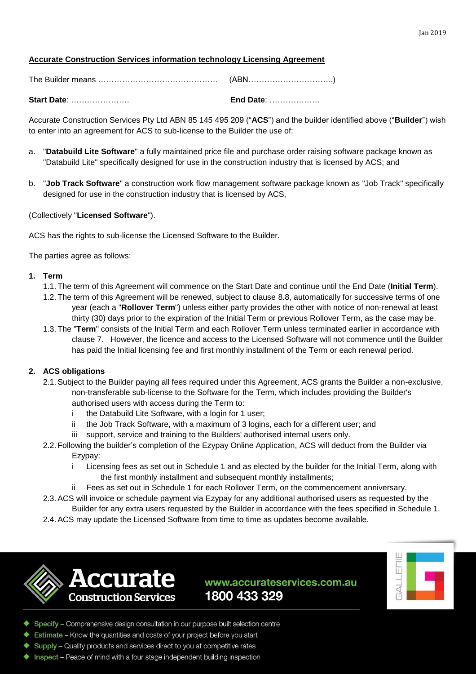# **Accurate Construction Services information technology Licensing Agreement**

| <b>Start Date: </b> | <b>End Date: </b> |
|---------------------|-------------------|
|                     | (ABN……………………………)  |

Accurate Construction Services Pty Ltd ABN 85 145 495 209 ("**ACS**") and the builder identified above ("**Builder**") wish to enter into an agreement for ACS to sub-license to the Builder the use of:

- a. "**Databuild Lite Software**" a fully maintained price file and purchase order raising software package known as "Databuild Lite" specifically designed for use in the construction industry that is licensed by ACS; and
- b. "**Job Track Software**" a construction work flow management software package known as "Job Track" specifically designed for use in the construction industry that is licensed by ACS,

(Collectively "**Licensed Software**").

ACS has the rights to sub-license the Licensed Software to the Builder.

The parties agree as follows:

#### **1. Term**

- 1.1. The term of this Agreement will commence on the Start Date and continue until the End Date (**Initial Term**).
- 1.2. The term of this Agreement will be renewed, subject to clause [8.8,](#page-3-0) automatically for successive terms of one year (each a "**Rollover Term**") unless either party provides the other with notice of non-renewal at least thirty (30) days prior to the expiration of the Initial Term or previous Rollover Term, as the case may be.
- 1.3. The "**Term**" consists of the Initial Term and each Rollover Term unless terminated earlier in accordance with clause [7.](#page-3-1) However, the licence and access to the Licensed Software will not commence until the Builder has paid the Initial licensing fee and first monthly installment of the Term or each renewal period.

# **2. ACS obligations**

- 2.1.Subject to the Builder paying all fees required under this Agreement, ACS grants the Builder a non-exclusive, non-transferable sub-license to the Software for the Term, which includes providing the Builder's authorised users with access during the Term to:
	- i the Databuild Lite Software, with a login for 1 user;
	- ii the Job Track Software, with a maximum of 3 logins, each for a different user; and
	- iii support, service and training to the Builders' authorised internal users only.
- 2.2. Following the builder's completion of the Ezypay Online Application, ACS will deduct from the Builder via Ezypay:
	- i Licensing fees as set out in Schedule 1 and as elected by the builder for the Initial Term, along with the first monthly installment and subsequent monthly installments;
	- Fees as set out in Schedule 1 for each Rollover Term, on the commencement anniversary.
- 2.3.ACS will invoice or schedule payment via Ezypay for any additional authorised users as requested by the Builder for any extra users requested by the Builder in accordance with the fees specified in Schedule 1.
- 2.4.ACS may update the Licensed Software from time to time as updates become available.





- ◆ Specify Comprehensive design consultation in our purpose built selection centre
- Estimate Know the quantities and costs of your project before you start
- Supply Quality products and services direct to you at competitive rates
- Inspect Peace of mind with a four stage independent building inspection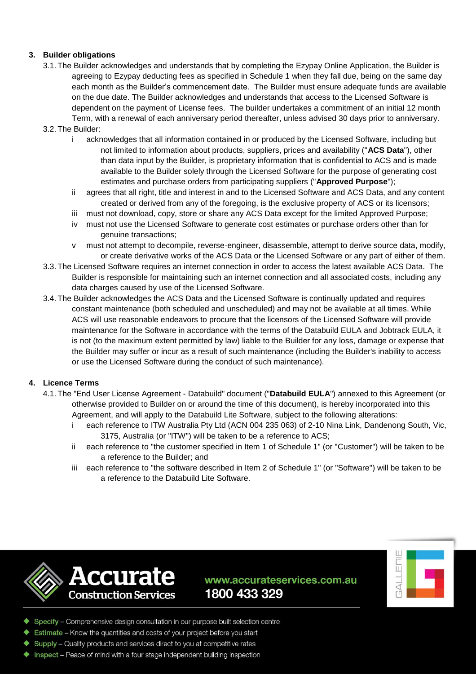# **3. Builder obligations**

3.1. The Builder acknowledges and understands that by completing the Ezypay Online Application, the Builder is agreeing to Ezypay deducting fees as specified in Schedule 1 when they fall due, being on the same day each month as the Builder's commencement date. The Builder must ensure adequate funds are available on the due date. The Builder acknowledges and understands that access to the Licensed Software is dependent on the payment of License fees. The builder undertakes a commitment of an initial 12 month Term, with a renewal of each anniversary period thereafter, unless advised 30 days prior to anniversary.

#### 3.2. The Builder:

- i acknowledges that all information contained in or produced by the Licensed Software, including but not limited to information about products, suppliers, prices and availability ("**ACS Data**"), other than data input by the Builder, is proprietary information that is confidential to ACS and is made available to the Builder solely through the Licensed Software for the purpose of generating cost estimates and purchase orders from participating suppliers ("**Approved Purpose**");
- ii agrees that all right, title and interest in and to the Licensed Software and ACS Data, and any content created or derived from any of the foregoing, is the exclusive property of ACS or its licensors;
- iii must not download, copy, store or share any ACS Data except for the limited Approved Purpose;
- iv must not use the Licensed Software to generate cost estimates or purchase orders other than for genuine transactions;
- v must not attempt to decompile, reverse-engineer, disassemble, attempt to derive source data, modify, or create derivative works of the ACS Data or the Licensed Software or any part of either of them.
- 3.3. The Licensed Software requires an internet connection in order to access the latest available ACS Data. The Builder is responsible for maintaining such an internet connection and all associated costs, including any data charges caused by use of the Licensed Software.
- 3.4. The Builder acknowledges the ACS Data and the Licensed Software is continually updated and requires constant maintenance (both scheduled and unscheduled) and may not be available at all times. While ACS will use reasonable endeavors to procure that the licensors of the Licensed Software will provide maintenance for the Software in accordance with the terms of the Databuild EULA and Jobtrack EULA, it is not (to the maximum extent permitted by law) liable to the Builder for any loss, damage or expense that the Builder may suffer or incur as a result of such maintenance (including the Builder's inability to access or use the Licensed Software during the conduct of such maintenance).

#### **4. Licence Terms**

- 4.1. The "End User License Agreement Databuild" document ("**Databuild EULA**") annexed to this Agreement (or otherwise provided to Builder on or around the time of this document), is hereby incorporated into this Agreement, and will apply to the Databuild Lite Software, subject to the following alterations:
	- i each reference to ITW Australia Pty Ltd (ACN 004 235 063) of 2-10 Nina Link, Dandenong South, Vic, 3175, Australia (or "ITW") will be taken to be a reference to ACS;
	- ii each reference to "the customer specified in Item 1 of Schedule 1" (or "Customer") will be taken to be a reference to the Builder; and
	- iii each reference to "the software described in Item 2 of Schedule 1" (or "Software") will be taken to be a reference to the Databuild Lite Software.





- ◆ Specify Comprehensive design consultation in our purpose built selection centre
- Estimate Know the quantities and costs of your project before you start
- Supply Quality products and services direct to you at competitive rates
- ◆ Inspect Peace of mind with a four stage independent building inspection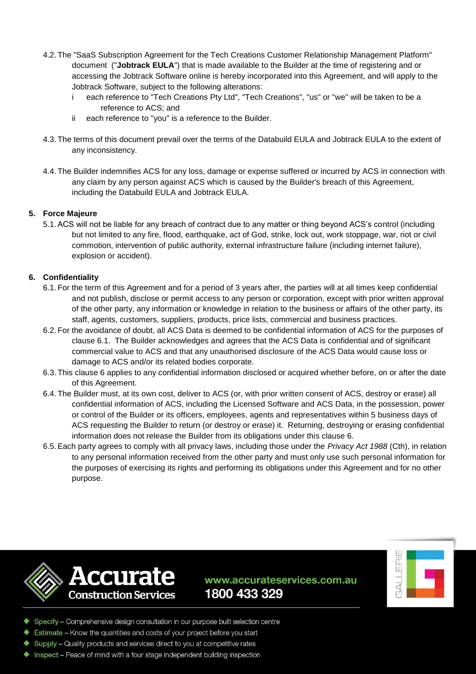- 4.2. The "SaaS Subscription Agreement for the Tech Creations Customer Relationship Management Platform" document ("**Jobtrack EULA**") that is made available to the Builder at the time of registering and or accessing the Jobtrack Software online is hereby incorporated into this Agreement, and will apply to the Jobtrack Software, subject to the following alterations:
	- i each reference to "Tech Creations Pty Ltd", "Tech Creations", "us" or "we" will be taken to be a reference to ACS; and
	- ii each reference to "you" is a reference to the Builder.
- 4.3. The terms of this document prevail over the terms of the Databuild EULA and Jobtrack EULA to the extent of any inconsistency.
- 4.4. The Builder indemnifies ACS for any loss, damage or expense suffered or incurred by ACS in connection with any claim by any person against ACS which is caused by the Builder's breach of this Agreement, including the Databuild EULA and Jobtrack EULA.

# **5. Force Majeure**

5.1.ACS will not be liable for any breach of contract due to any matter or thing beyond ACS's control (including but not limited to any fire, flood, earthquake, act of God, strike, lock out, work stoppage, war, riot or civil commotion, intervention of public authority, external infrastructure failure (including internet failure), explosion or accident).

# <span id="page-2-1"></span><span id="page-2-0"></span>**6. Confidentiality**

- 6.1. For the term of this Agreement and for a period of 3 years after, the parties will at all times keep confidential and not publish, disclose or permit access to any person or corporation, except with prior written approval of the other party, any information or knowledge in relation to the business or affairs of the other party, its staff, agents, customers, suppliers, products, price lists, commercial and business practices.
- 6.2. For the avoidance of doubt, all ACS Data is deemed to be confidential information of ACS for the purposes of clause [6.1.](#page-2-0) The Builder acknowledges and agrees that the ACS Data is confidential and of significant commercial value to ACS and that any unauthorised disclosure of the ACS Data would cause loss or damage to ACS and/or its related bodies corporate.
- 6.3. This clause [6](#page-2-1) applies to any confidential information disclosed or acquired whether before, on or after the date of this Agreement.
- 6.4. The Builder must, at its own cost, deliver to ACS (or, with prior written consent of ACS, destroy or erase) all confidential information of ACS, including the Licensed Software and ACS Data, in the possession, power or control of the Builder or its officers, employees, agents and representatives within 5 business days of ACS requesting the Builder to return (or destroy or erase) it. Returning, destroying or erasing confidential information does not release the Builder from its obligations under this clause [6.](#page-2-1)
- 6.5.Each party agrees to comply with all privacy laws, including those under the *Privacy Act 1988* (Cth), in relation to any personal information received from the other party and must only use such personal information for the purposes of exercising its rights and performing its obligations under this Agreement and for no other purpose.





- ◆ Specify Comprehensive design consultation in our purpose built selection centre
- Estimate Know the quantities and costs of your project before you start
- Supply Quality products and services direct to you at competitive rates
- Inspect Peace of mind with a four stage independent building inspection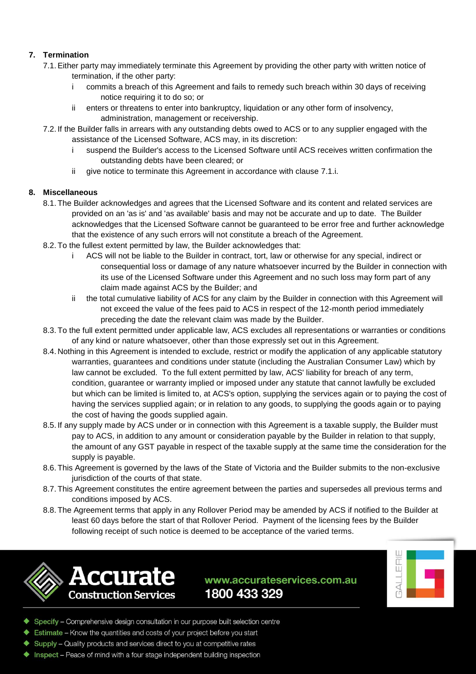# <span id="page-3-1"></span>**7. Termination**

- <span id="page-3-2"></span>7.1.Either party may immediately terminate this Agreement by providing the other party with written notice of termination, if the other party:
	- i commits a breach of this Agreement and fails to remedy such breach within 30 days of receiving notice requiring it to do so; or
	- ii enters or threatens to enter into bankruptcy, liquidation or any other form of insolvency, administration, management or receivership.
- 7.2. If the Builder falls in arrears with any outstanding debts owed to ACS or to any supplier engaged with the assistance of the Licensed Software, ACS may, in its discretion:
	- i suspend the Builder's access to the Licensed Software until ACS receives written confirmation the outstanding debts have been cleared; or
	- ii give notice to terminate this Agreement in accordance with clause [7.1.i.](#page-3-2)

# **8. Miscellaneous**

- 8.1. The Builder acknowledges and agrees that the Licensed Software and its content and related services are provided on an 'as is' and 'as available' basis and may not be accurate and up to date. The Builder acknowledges that the Licensed Software cannot be guaranteed to be error free and further acknowledge that the existence of any such errors will not constitute a breach of the Agreement.
- 8.2. To the fullest extent permitted by law, the Builder acknowledges that:
	- i ACS will not be liable to the Builder in contract, tort, law or otherwise for any special, indirect or consequential loss or damage of any nature whatsoever incurred by the Builder in connection with its use of the Licensed Software under this Agreement and no such loss may form part of any claim made against ACS by the Builder; and
	- ii the total cumulative liability of ACS for any claim by the Builder in connection with this Agreement will not exceed the value of the fees paid to ACS in respect of the 12-month period immediately preceding the date the relevant claim was made by the Builder.
- 8.3. To the full extent permitted under applicable law, ACS excludes all representations or warranties or conditions of any kind or nature whatsoever, other than those expressly set out in this Agreement.
- 8.4. Nothing in this Agreement is intended to exclude, restrict or modify the application of any applicable statutory warranties, guarantees and conditions under statute (including the Australian Consumer Law) which by law cannot be excluded. To the full extent permitted by law, ACS' liability for breach of any term, condition, guarantee or warranty implied or imposed under any statute that cannot lawfully be excluded but which can be limited is limited to, at ACS's option, supplying the services again or to paying the cost of having the services supplied again; or in relation to any goods, to supplying the goods again or to paying the cost of having the goods supplied again.
- 8.5. If any supply made by ACS under or in connection with this Agreement is a taxable supply, the Builder must pay to ACS, in addition to any amount or consideration payable by the Builder in relation to that supply, the amount of any GST payable in respect of the taxable supply at the same time the consideration for the supply is payable.
- 8.6. This Agreement is governed by the laws of the State of Victoria and the Builder submits to the non-exclusive jurisdiction of the courts of that state.
- 8.7. This Agreement constitutes the entire agreement between the parties and supersedes all previous terms and conditions imposed by ACS.
- <span id="page-3-0"></span>8.8. The Agreement terms that apply in any Rollover Period may be amended by ACS if notified to the Builder at least 60 days before the start of that Rollover Period. Payment of the licensing fees by the Builder following receipt of such notice is deemed to be acceptance of the varied terms.





- Specify Comprehensive design consultation in our purpose built selection centre
- Estimate Know the quantities and costs of your project before you start
- Supply Quality products and services direct to you at competitive rates
- Inspect Peace of mind with a four stage independent building inspection